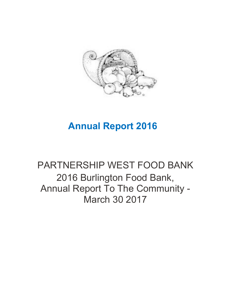

## **Annual Report 2016**

# PARTNERSHIP WEST FOOD BANK 2016 Burlington Food Bank, Annual Report To The Community - March 30 2017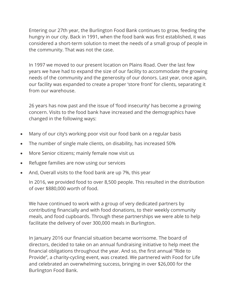Entering our 27th year, the Burlington Food Bank continues to grow, feeding the hungry in our city. Back in 1991, when the food bank was first established, it was considered a short-term solution to meet the needs of a small group of people in the community. That was not the case.

In 1997 we moved to our present location on Plains Road. Over the last few years we have had to expand the size of our facility to accommodate the growing needs of the community and the generosity of our donors. Last year, once again, our facility was expanded to create a proper 'store front' for clients, separating it from our warehouse.

26 years has now past and the issue of 'food insecurity' has become a growing concern. Visits to the food bank have increased and the demographics have changed in the following ways:

- Many of our city's working poor visit our food bank on a regular basis
- The number of single male clients, on disability, has increased 50%
- More Senior citizens; mainly female now visit us
- Refugee families are now using our services
- And, Overall visits to the food bank are up 7%, this year

In 2016, we provided food to over 8,500 people. This resulted in the distribution of over \$880,000 worth of food.

We have continued to work with a group of very dedicated partners by contributing financially and with food donations, to their weekly community meals, and food cupboards. Through these partnerships we were able to help facilitate the delivery of over 300,000 meals in Burlington.

In January 2016 our financial situation became worrisome. The board of directors, decided to take on an annual fundraising initiative to help meet the financial obligations throughout the year. And so, the first annual "Ride to Provide", a charity-cycling event, was created. We partnered with Food for Life and celebrated an overwhelming success, bringing in over \$26,000 for the Burlington Food Bank.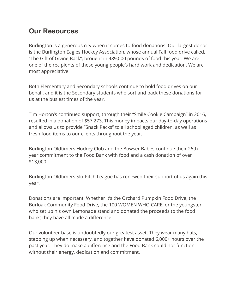#### **Our Resources**

Burlington is a generous city when it comes to food donations. Our largest donor is the Burlington Eagles Hockey Association, whose annual Fall food drive called, "The Gift of Giving Back", brought in 489,000 pounds of food this year. We are one of the recipients of these young people's hard work and dedication. We are most appreciative.

Both Elementary and Secondary schools continue to hold food drives on our behalf, and it is the Secondary students who sort and pack these donations for us at the busiest times of the year.

Tim Horton's continued support, through their "Smile Cookie Campaign" in 2016, resulted in a donation of \$57,273. This money impacts our day-to-day operations and allows us to provide "Snack Packs" to all school aged children, as well as fresh food items to our clients throughout the year.

Burlington Oldtimers Hockey Club and the Bowser Babes continue their 26th year commitment to the Food Bank with food and a cash donation of over \$13,000.

Burlington Oldtimers Slo-Pitch League has renewed their support of us again this year.

Donations are important. Whether it's the Orchard Pumpkin Food Drive, the Burloak Community Food Drive, the 100 WOMEN WHO CARE, or the youngster who set up his own Lemonade stand and donated the proceeds to the food bank; they have all made a difference.

Our volunteer base is undoubtedly our greatest asset. They wear many hats, stepping up when necessary, and together have donated 6,000+ hours over the past year. They do make a difference and the Food Bank could not function without their energy, dedication and commitment.